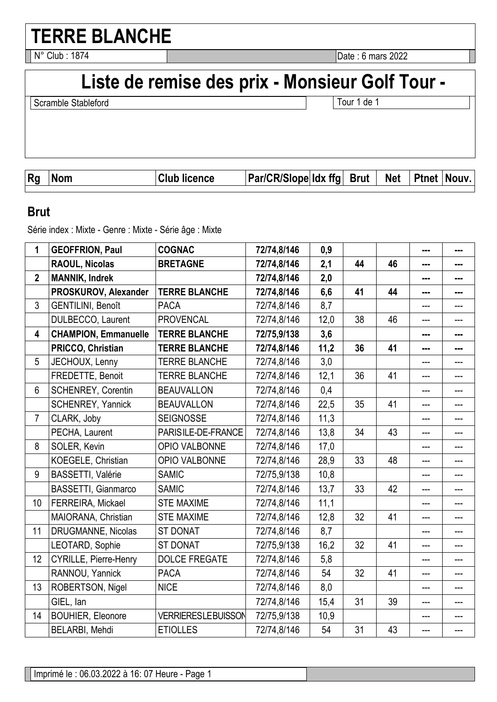# **TERRE BLANCHE**

N° Club : 1874 **Date : 6 mars 2022** 

# Liste de remise des prix - Monsieur Golf Tour -

Scramble Stableford **Tour 1** de 1

| <b>Rg</b> | ٬۸۳ | -<br>ence: | <b>Par/CR/Slope Idx</b> | ffa | <b>Brut</b> | <b>Net</b> | <b>Ptnet</b> | <b>NOUV</b> |
|-----------|-----|------------|-------------------------|-----|-------------|------------|--------------|-------------|
|           |     |            |                         |     |             |            |              |             |

#### **Brut**

Série index : Mixte - Genre : Mixte - Série âge : Mixte

| 1              | <b>GEOFFRION, Paul</b>       | <b>COGNAC</b>             | 72/74,8/146 | 0,9  |    |    | --- | --- |
|----------------|------------------------------|---------------------------|-------------|------|----|----|-----|-----|
|                | <b>RAOUL, Nicolas</b>        | <b>BRETAGNE</b>           | 72/74,8/146 | 2,1  | 44 | 46 | --- | --- |
| $\overline{2}$ | <b>MANNIK, Indrek</b>        |                           | 72/74,8/146 | 2,0  |    |    |     | --- |
|                | PROSKUROV, Alexander         | <b>TERRE BLANCHE</b>      | 72/74,8/146 | 6,6  | 41 | 44 | --- | --- |
| $\overline{3}$ | <b>GENTILINI, Benoît</b>     | <b>PACA</b>               | 72/74,8/146 | 8,7  |    |    | --- |     |
|                | DULBECCO, Laurent            | <b>PROVENCAL</b>          | 72/74,8/146 | 12,0 | 38 | 46 | --- | --- |
| 4              | <b>CHAMPION, Emmanuelle</b>  | <b>TERRE BLANCHE</b>      | 72/75,9/138 | 3,6  |    |    | --- | --- |
|                | PRICCO, Christian            | <b>TERRE BLANCHE</b>      | 72/74,8/146 | 11,2 | 36 | 41 |     | --- |
| 5              | JECHOUX, Lenny               | <b>TERRE BLANCHE</b>      | 72/74,8/146 | 3,0  |    |    | --- | --- |
|                | FREDETTE, Benoit             | <b>TERRE BLANCHE</b>      | 72/74,8/146 | 12,1 | 36 | 41 | --- | --- |
| 6              | <b>SCHENREY, Corentin</b>    | <b>BEAUVALLON</b>         | 72/74,8/146 | 0,4  |    |    | --- |     |
|                | SCHENREY, Yannick            | <b>BEAUVALLON</b>         | 72/74,8/146 | 22,5 | 35 | 41 | --- | --- |
| $\overline{7}$ | CLARK, Joby                  | <b>SEIGNOSSE</b>          | 72/74,8/146 | 11,3 |    |    | --- | --- |
|                | PECHA, Laurent               | PARISILE-DE-FRANCE        | 72/74,8/146 | 13,8 | 34 | 43 | --- |     |
| 8              | SOLER, Kevin                 | OPIO VALBONNE             | 72/74,8/146 | 17,0 |    |    | --- | --- |
|                | KOEGELE, Christian           | OPIO VALBONNE             | 72/74,8/146 | 28,9 | 33 | 48 | --- | --- |
| 9              | <b>BASSETTI, Valérie</b>     | <b>SAMIC</b>              | 72/75,9/138 | 10,8 |    |    | --- |     |
|                | <b>BASSETTI, Gianmarco</b>   | <b>SAMIC</b>              | 72/74,8/146 | 13,7 | 33 | 42 | --- | --- |
| 10             | FERREIRA, Mickael            | <b>STE MAXIME</b>         | 72/74,8/146 | 11,1 |    |    | --- | --- |
|                | MAIORANA, Christian          | <b>STE MAXIME</b>         | 72/74,8/146 | 12,8 | 32 | 41 | --- | --- |
| 11             | DRUGMANNE, Nicolas           | <b>ST DONAT</b>           | 72/74,8/146 | 8,7  |    |    | --- | --- |
|                | LEOTARD, Sophie              | <b>ST DONAT</b>           | 72/75,9/138 | 16,2 | 32 | 41 | --- | --- |
| 12             | <b>CYRILLE, Pierre-Henry</b> | <b>DOLCE FREGATE</b>      | 72/74,8/146 | 5,8  |    |    | --- |     |
|                | RANNOU, Yannick              | <b>PACA</b>               | 72/74,8/146 | 54   | 32 | 41 | --- | --- |
| 13             | ROBERTSON, Nigel             | <b>NICE</b>               | 72/74,8/146 | 8,0  |    |    | --- | --- |
|                | GIEL, lan                    |                           | 72/74,8/146 | 15,4 | 31 | 39 | --- |     |
| 14             | <b>BOUHIER, Eleonore</b>     | <b>VERRIERESLEBUISSON</b> | 72/75,9/138 | 10,9 |    |    | --- | --- |
|                | BELARBI, Mehdi               | <b>ETIOLLES</b>           | 72/74,8/146 | 54   | 31 | 43 | --- | --- |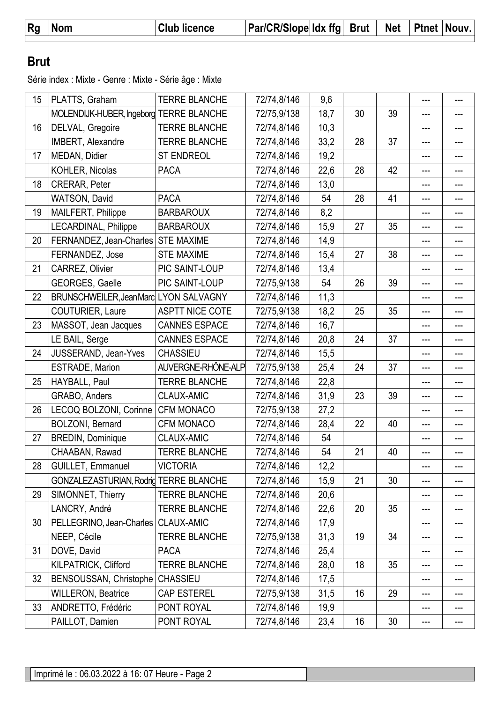| <b>Rg</b> | <b>Nom</b> | <b>Club licence</b> | $ Par/CR/Slope $ ldx ffg $ Brut $ |  | $\mathsf{N}$ Net $\mathsf{N}$ | <b>Ptnet Nouv.</b> |  |
|-----------|------------|---------------------|-----------------------------------|--|-------------------------------|--------------------|--|
|           |            |                     |                                   |  |                               |                    |  |

### **Brut**

Série index : Mixte - Genre : Mixte - Série âge : Mixte

| 15 | PLATTS, Graham                          | <b>TERRE BLANCHE</b>   | 72/74,8/146 | 9,6  |    |    | ---                        | --- |
|----|-----------------------------------------|------------------------|-------------|------|----|----|----------------------------|-----|
|    | MOLENDIJK-HUBER, Ingeborg TERRE BLANCHE |                        | 72/75,9/138 | 18,7 | 30 | 39 | ---                        | --- |
| 16 | DELVAL, Gregoire                        | <b>TERRE BLANCHE</b>   | 72/74,8/146 | 10,3 |    |    | ---                        | --- |
|    | IMBERT, Alexandre                       | <b>TERRE BLANCHE</b>   | 72/74,8/146 | 33,2 | 28 | 37 | ---                        |     |
| 17 | MEDAN, Didier                           | <b>ST ENDREOL</b>      | 72/74,8/146 | 19,2 |    |    | ---                        | --- |
|    | KOHLER, Nicolas                         | <b>PACA</b>            | 72/74,8/146 | 22,6 | 28 | 42 | ---                        | --- |
| 18 | CRERAR, Peter                           |                        | 72/74,8/146 | 13,0 |    |    | ---                        | --- |
|    | WATSON, David                           | <b>PACA</b>            | 72/74,8/146 | 54   | 28 | 41 | ---                        | --- |
| 19 | MAILFERT, Philippe                      | <b>BARBAROUX</b>       | 72/74,8/146 | 8,2  |    |    | ---                        | --- |
|    | LECARDINAL, Philippe                    | <b>BARBAROUX</b>       | 72/74,8/146 | 15,9 | 27 | 35 | ---                        | --- |
| 20 | FERNANDEZ, Jean-Charles                 | <b>STE MAXIME</b>      | 72/74,8/146 | 14,9 |    |    | ---                        | --- |
|    | FERNANDEZ, Jose                         | <b>STE MAXIME</b>      | 72/74,8/146 | 15,4 | 27 | 38 | ---                        | --- |
| 21 | CARREZ, Olivier                         | PIC SAINT-LOUP         | 72/74,8/146 | 13,4 |    |    | ---                        | --- |
|    | GEORGES, Gaelle                         | PIC SAINT-LOUP         | 72/75,9/138 | 54   | 26 | 39 | ---                        | --- |
| 22 | BRUNSCHWEILER, JeanMarc LYON SALVAGNY   |                        | 72/74,8/146 | 11,3 |    |    | ---                        | --- |
|    | <b>COUTURIER, Laure</b>                 | <b>ASPTT NICE COTE</b> | 72/75,9/138 | 18,2 | 25 | 35 | ---                        | --- |
| 23 | MASSOT, Jean Jacques                    | <b>CANNES ESPACE</b>   | 72/74,8/146 | 16,7 |    |    | ---                        | --- |
|    | LE BAIL, Serge                          | <b>CANNES ESPACE</b>   | 72/74,8/146 | 20,8 | 24 | 37 | ---                        | --- |
| 24 | JUSSERAND, Jean-Yves                    | <b>CHASSIEU</b>        | 72/74,8/146 | 15,5 |    |    | ---                        | --- |
|    | ESTRADE, Marion                         | AUVERGNE-RHÔNE-ALP     | 72/75,9/138 | 25,4 | 24 | 37 | ---                        | --- |
| 25 | HAYBALL, Paul                           | <b>TERRE BLANCHE</b>   | 72/74,8/146 | 22,8 |    |    | ---                        | --- |
|    | GRABO, Anders                           | <b>CLAUX-AMIC</b>      | 72/74,8/146 | 31,9 | 23 | 39 | ---                        | --- |
| 26 | LECOQ BOLZONI, Corinne                  | <b>CFM MONACO</b>      | 72/75,9/138 | 27,2 |    |    | ---                        | --- |
|    | BOLZONI, Bernard                        | <b>CFM MONACO</b>      | 72/74,8/146 | 28,4 | 22 | 40 | ---                        | --- |
| 27 | <b>BREDIN, Dominique</b>                | CLAUX-AMIC             | 72/74,8/146 | 54   |    |    | ---                        | --- |
|    | CHAABAN, Rawad                          | <b>TERRE BLANCHE</b>   | 72/74,8/146 | 54   | 21 | 40 |                            |     |
| 28 | GUILLET, Emmanuel                       | <b>VICTORIA</b>        | 72/74,8/146 | 12,2 |    |    |                            |     |
|    | GONZALEZASTURIAN, Rodrig TERRE BLANCHE  |                        | 72/74,8/146 | 15,9 | 21 | 30 | ---                        | --- |
| 29 | SIMONNET, Thierry                       | <b>TERRE BLANCHE</b>   | 72/74,8/146 | 20,6 |    |    | ---                        | --- |
|    | LANCRY, André                           | <b>TERRE BLANCHE</b>   | 72/74,8/146 | 22,6 | 20 | 35 | ---                        | --- |
| 30 | PELLEGRINO, Jean-Charles                | <b>CLAUX-AMIC</b>      | 72/74,8/146 | 17,9 |    |    | ---                        | --- |
|    | NEEP, Cécile                            | <b>TERRE BLANCHE</b>   | 72/75,9/138 | 31,3 | 19 | 34 | ---                        |     |
| 31 | DOVE, David                             | <b>PACA</b>            | 72/74,8/146 | 25,4 |    |    | ---                        | --- |
|    | KILPATRICK, Clifford                    | <b>TERRE BLANCHE</b>   | 72/74,8/146 | 28,0 | 18 | 35 | ---                        | --- |
| 32 | BENSOUSSAN, Christophe                  | <b>CHASSIEU</b>        | 72/74,8/146 | 17,5 |    |    | ---                        | --- |
|    | <b>WILLERON, Beatrice</b>               | <b>CAP ESTEREL</b>     | 72/75,9/138 | 31,5 | 16 | 29 | ---                        | --- |
| 33 | ANDRETTO, Frédéric                      | PONT ROYAL             | 72/74,8/146 | 19,9 |    |    | ---                        | --- |
|    | PAILLOT, Damien                         | PONT ROYAL             | 72/74,8/146 | 23,4 | 16 | 30 | $\qquad \qquad \text{---}$ | --- |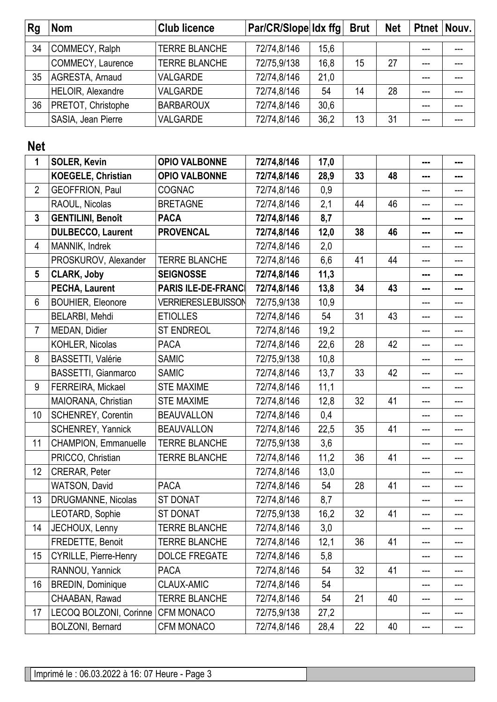| Rg | <b>Nom</b>             | <b>Club licence</b>  | $Par/CR/Slope$ $ldx$ ffg |      | <b>Brut</b> | <b>Net</b> |       | Ptnet Nouv. |
|----|------------------------|----------------------|--------------------------|------|-------------|------------|-------|-------------|
|    |                        |                      |                          |      |             |            |       |             |
| 34 | COMMECY, Ralph         | <b>TERRE BLANCHE</b> | 72/74,8/146              | 15,6 |             |            | ---   | $---$       |
|    | COMMECY, Laurence      | <b>TERRE BLANCHE</b> | 72/75,9/138              | 16,8 | 15          | 27         | $---$ | $---$       |
| 35 | <b>AGRESTA, Arnaud</b> | <b>VALGARDE</b>      | 72/74,8/146              | 21,0 |             |            |       |             |
|    | HELOIR, Alexandre      | <b>VALGARDE</b>      | 72/74,8/146              | 54   | 14          | 28         | ---   | ---         |
| 36 | PRETOT, Christophe     | <b>BARBAROUX</b>     | 72/74,8/146              | 30,6 |             |            | ---   | ---         |
|    | SASIA, Jean Pierre     | VALGARDE             | 72/74,8/146              | 36,2 | 13          | 31         | $---$ | ---         |
|    |                        |                      |                          |      |             |            |       |             |

## **Net**

| 1              | <b>SOLER, Kevin</b>          | <b>OPIO VALBONNE</b>       | 72/74,8/146 | 17,0 |    |    | --- | --- |
|----------------|------------------------------|----------------------------|-------------|------|----|----|-----|-----|
|                | <b>KOEGELE, Christian</b>    | <b>OPIO VALBONNE</b>       | 72/74,8/146 | 28,9 | 33 | 48 | --- | --- |
| $\overline{2}$ | GEOFFRION, Paul              | <b>COGNAC</b>              | 72/74,8/146 | 0,9  |    |    | --- | --- |
|                | RAOUL, Nicolas               | <b>BRETAGNE</b>            | 72/74,8/146 | 2,1  | 44 | 46 | --- | --- |
| $\mathbf{3}$   | <b>GENTILINI, Benoît</b>     | <b>PACA</b>                | 72/74,8/146 | 8,7  |    |    | --- | --- |
|                | <b>DULBECCO, Laurent</b>     | <b>PROVENCAL</b>           | 72/74,8/146 | 12,0 | 38 | 46 | --- | --- |
| 4              | MANNIK, Indrek               |                            | 72/74,8/146 | 2,0  |    |    | --- | --- |
|                | PROSKUROV, Alexander         | <b>TERRE BLANCHE</b>       | 72/74,8/146 | 6,6  | 41 | 44 | --- | --- |
| 5              | <b>CLARK, Joby</b>           | <b>SEIGNOSSE</b>           | 72/74,8/146 | 11,3 |    |    | --- | --- |
|                | PECHA, Laurent               | <b>PARIS ILE-DE-FRANCI</b> | 72/74,8/146 | 13,8 | 34 | 43 | --- | --- |
| $6\phantom{1}$ | <b>BOUHIER, Eleonore</b>     | <b>VERRIERESLEBUISSON</b>  | 72/75,9/138 | 10,9 |    |    | --- |     |
|                | BELARBI, Mehdi               | <b>ETIOLLES</b>            | 72/74,8/146 | 54   | 31 | 43 | --- | --- |
| $\overline{7}$ | MEDAN, Didier                | <b>ST ENDREOL</b>          | 72/74,8/146 | 19,2 |    |    | --- | --- |
|                | KOHLER, Nicolas              | <b>PACA</b>                | 72/74,8/146 | 22,6 | 28 | 42 | --- | --- |
| 8              | BASSETTI, Valérie            | <b>SAMIC</b>               | 72/75,9/138 | 10,8 |    |    | --- | --- |
|                | BASSETTI, Gianmarco          | <b>SAMIC</b>               | 72/74,8/146 | 13,7 | 33 | 42 | --- | --- |
| 9              | FERREIRA, Mickael            | <b>STE MAXIME</b>          | 72/74,8/146 | 11,1 |    |    | --- | --- |
|                | MAIORANA, Christian          | <b>STE MAXIME</b>          | 72/74,8/146 | 12,8 | 32 | 41 | --- | --- |
| 10             | <b>SCHENREY, Corentin</b>    | <b>BEAUVALLON</b>          | 72/74,8/146 | 0,4  |    |    | --- | --- |
|                | SCHENREY, Yannick            | <b>BEAUVALLON</b>          | 72/74,8/146 | 22,5 | 35 | 41 | --- | --- |
| 11             | CHAMPION, Emmanuelle         | <b>TERRE BLANCHE</b>       | 72/75,9/138 | 3,6  |    |    | --- |     |
|                | PRICCO, Christian            | <b>TERRE BLANCHE</b>       | 72/74,8/146 | 11,2 | 36 | 41 | --- | --- |
| 12             | CRERAR, Peter                |                            | 72/74,8/146 | 13,0 |    |    | --- | --- |
|                | <b>WATSON, David</b>         | <b>PACA</b>                | 72/74,8/146 | 54   | 28 | 41 | --- | --- |
| 13             | DRUGMANNE, Nicolas           | <b>ST DONAT</b>            | 72/74,8/146 | 8,7  |    |    | --- | --- |
|                | LEOTARD, Sophie              | <b>ST DONAT</b>            | 72/75,9/138 | 16,2 | 32 | 41 | --- |     |
| 14             | JECHOUX, Lenny               | <b>TERRE BLANCHE</b>       | 72/74,8/146 | 3,0  |    |    |     |     |
|                | FREDETTE, Benoit             | <b>TERRE BLANCHE</b>       | 72/74,8/146 | 12,1 | 36 | 41 | --- |     |
| 15             | <b>CYRILLE, Pierre-Henry</b> | <b>DOLCE FREGATE</b>       | 72/74,8/146 | 5,8  |    |    | --- | --- |
|                | RANNOU, Yannick              | <b>PACA</b>                | 72/74,8/146 | 54   | 32 | 41 | --- | --- |
| 16             | <b>BREDIN, Dominique</b>     | <b>CLAUX-AMIC</b>          | 72/74,8/146 | 54   |    |    |     |     |
|                | CHAABAN, Rawad               | <b>TERRE BLANCHE</b>       | 72/74,8/146 | 54   | 21 | 40 | --- | --- |
| 17             | LECOQ BOLZONI, Corinne       | <b>CFM MONACO</b>          | 72/75,9/138 | 27,2 |    |    | --- | --- |
|                | BOLZONI, Bernard             | <b>CFM MONACO</b>          | 72/74,8/146 | 28,4 | 22 | 40 | --- | --- |